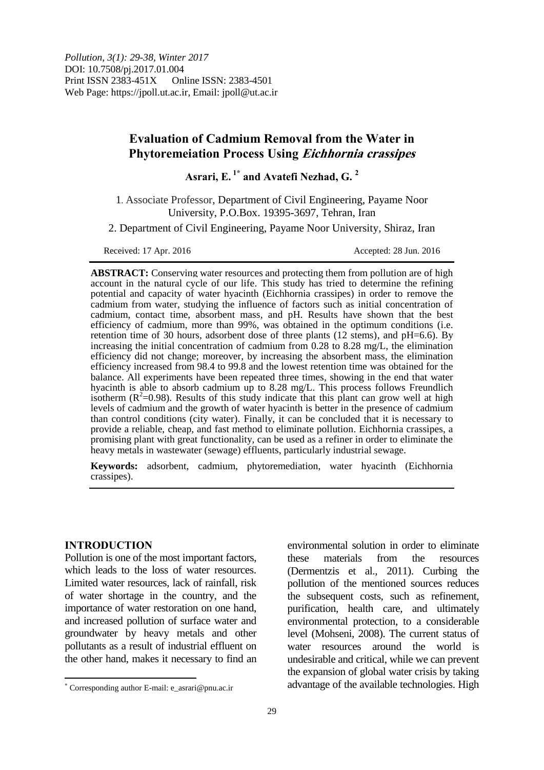# **Evaluation of Cadmium Removal from the Water in Phytoremeiation Process Using Eichhornia crassipes**

**Asrari, E. 1\* and Avatefi Nezhad, G. <sup>2</sup>**

1. Associate Professor, Department of Civil Engineering, Payame Noor University, P.O.Box. 19395-3697, Tehran, Iran

2. Department of Civil Engineering, Payame Noor University, Shiraz, Iran

Received: 17 Apr. 2016 **Accepted: 28 Jun. 2016** 

**ABSTRACT:** Conserving water resources and protecting them from pollution are of high account in the natural cycle of our life. This study has tried to determine the refining potential and capacity of water hyacinth (Eichhornia crassipes) in order to remove the cadmium from water, studying the influence of factors such as initial concentration of cadmium, contact time, absorbent mass, and pH. Results have shown that the best efficiency of cadmium, more than 99%, was obtained in the optimum conditions (i.e. retention time of 30 hours, adsorbent dose of three plants (12 stems), and  $pH=6.6$ ). By increasing the initial concentration of cadmium from 0.28 to 8.28 mg/L, the elimination efficiency did not change; moreover, by increasing the absorbent mass, the elimination efficiency increased from 98.4 to 99.8 and the lowest retention time was obtained for the balance. All experiments have been repeated three times, showing in the end that water hyacinth is able to absorb cadmium up to 8.28 mg/L. This process follows Freundlich isotherm ( $\mathbb{R}^2$ =0.98). Results of this study indicate that this plant can grow well at high levels of cadmium and the growth of water hyacinth is better in the presence of cadmium than control conditions (city water). Finally, it can be concluded that it is necessary to provide a reliable, cheap, and fast method to eliminate pollution. Eichhornia crassipes, a promising plant with great functionality, can be used as a refiner in order to eliminate the heavy metals in wastewater (sewage) effluents, particularly industrial sewage.

**Keywords:** adsorbent, cadmium, phytoremediation, water hyacinth (Eichhornia crassipes).

## **INTRODUCTION**

 $\overline{a}$ 

Pollution is one of the most important factors, which leads to the loss of water resources. Limited water resources, lack of rainfall, risk of water shortage in the country, and the importance of water restoration on one hand, and increased pollution of surface water and groundwater by heavy metals and other pollutants as a result of industrial effluent on the other hand, makes it necessary to find an

environmental solution in order to eliminate these materials from the resources (Dermentzis et al., 2011). Curbing the pollution of the mentioned sources reduces the subsequent costs, such as refinement, purification, health care, and ultimately environmental protection, to a considerable level (Mohseni, 2008). The current status of water resources around the world is undesirable and critical, while we can prevent the expansion of global water crisis by taking advantage of the available technologies. High

Corresponding author E-mail: e\_asrari@pnu.ac.ir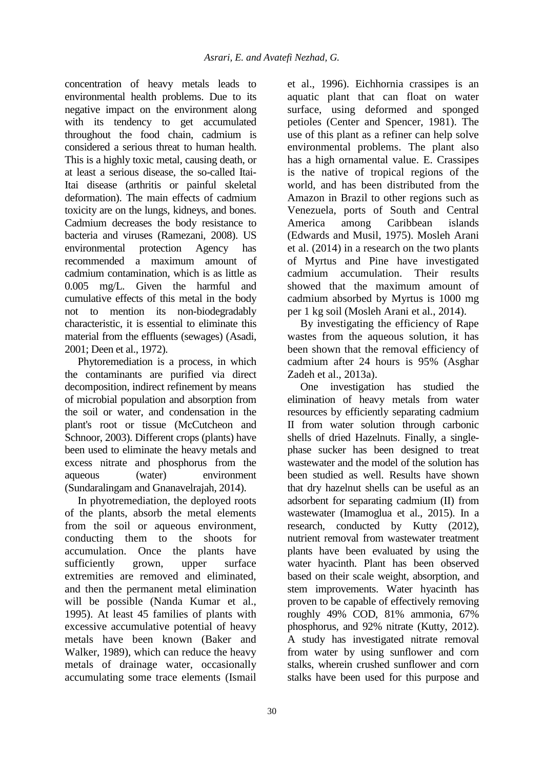concentration of heavy metals leads to environmental health problems. Due to its negative impact on the environment along with its tendency to get accumulated throughout the food chain, cadmium is considered a serious threat to human health. This is a highly toxic metal, causing death, or at least a serious disease, the so-called Itai-Itai disease (arthritis or painful skeletal deformation). The main effects of cadmium toxicity are on the lungs, kidneys, and bones. Cadmium decreases the body resistance to bacteria and viruses (Ramezani, 2008). US environmental protection Agency has recommended a maximum amount of cadmium contamination, which is as little as 0.005 mg/L. Given the harmful and cumulative effects of this metal in the body not to mention its non-biodegradably characteristic, it is essential to eliminate this material from the effluents (sewages) (Asadi, 2001; Deen et al., 1972).

Phytoremediation is a process, in which the contaminants are purified via direct decomposition, indirect refinement by means of microbial population and absorption from the soil or water, and condensation in the plant's root or tissue (McCutcheon and Schnoor, 2003). Different crops (plants) have been used to eliminate the heavy metals and excess nitrate and phosphorus from the aqueous (water) environment (Sundaralingam and Gnanavelrajah, 2014).

In phyotremediation, the deployed roots of the plants, absorb the metal elements from the soil or aqueous environment, conducting them to the shoots for accumulation. Once the plants have sufficiently grown, upper surface extremities are removed and eliminated, and then the permanent metal elimination will be possible (Nanda Kumar et al., 1995). At least 45 families of plants with excessive accumulative potential of heavy metals have been known (Baker and Walker, 1989), which can reduce the heavy metals of drainage water, occasionally accumulating some trace elements (Ismail

et al., 1996). Eichhornia crassipes is an aquatic plant that can float on water surface, using deformed and sponged petioles (Center and Spencer, 1981). The use of this plant as a refiner can help solve environmental problems. The plant also has a high ornamental value. E. Crassipes is the native of tropical regions of the world, and has been distributed from the Amazon in Brazil to other regions such as Venezuela, ports of South and Central America among Caribbean islands (Edwards and Musil, 1975). Mosleh Arani et al. (2014) in a research on the two plants of Myrtus and Pine have investigated cadmium accumulation. Their results showed that the maximum amount of cadmium absorbed by Myrtus is 1000 mg per 1 kg soil (Mosleh Arani et al., 2014).

By investigating the efficiency of Rape wastes from the aqueous solution, it has been shown that the removal efficiency of cadmium after 24 hours is 95% (Asghar Zadeh et al., 2013a).

One investigation has studied the elimination of heavy metals from water resources by efficiently separating cadmium II from water solution through carbonic shells of dried Hazelnuts. Finally, a singlephase sucker has been designed to treat wastewater and the model of the solution has been studied as well. Results have shown that dry hazelnut shells can be useful as an adsorbent for separating cadmium (II) from wastewater (Imamoglua et al., 2015). In a research, conducted by Kutty (2012), nutrient removal from wastewater treatment plants have been evaluated by using the water hyacinth. Plant has been observed based on their scale weight, absorption, and stem improvements. Water hyacinth has proven to be capable of effectively removing roughly 49% COD, 81% ammonia, 67% phosphorus, and 92% nitrate (Kutty, 2012). A study has investigated nitrate removal from water by using sunflower and corn stalks, wherein crushed sunflower and corn stalks have been used for this purpose and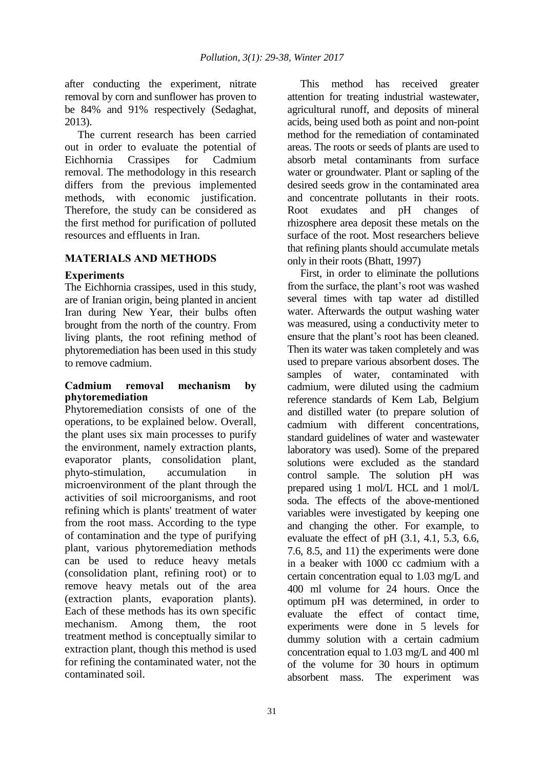after conducting the experiment, nitrate removal by corn and sunflower has proven to be 84% and 91% respectively (Sedaghat, 2013).

The current research has been carried out in order to evaluate the potential of Eichhornia Crassipes for Cadmium removal. The methodology in this research differs from the previous implemented methods, with economic justification. Therefore, the study can be considered as the first method for purification of polluted resources and effluents in Iran.

## **MATERIALS AND METHODS**

## **Experiments**

The Eichhornia crassipes, used in this study, are of Iranian origin, being planted in ancient Iran during New Year, their bulbs often brought from the north of the country. From living plants, the root refining method of phytoremediation has been used in this study to remove cadmium.

## **Cadmium removal mechanism by phytoremediation**

Phytoremediation consists of one of the operations, to be explained below. Overall, the plant uses six main processes to purify the environment, namely extraction plants, evaporator plants, consolidation plant, phyto-stimulation, accumulation in microenvironment of the plant through the activities of soil microorganisms, and root refining which is plants' treatment of water from the root mass. According to the type of contamination and the type of purifying plant, various phytoremediation methods can be used to reduce heavy metals (consolidation plant, refining root) or to remove heavy metals out of the area (extraction plants, evaporation plants). Each of these methods has its own specific mechanism. Among them, the root treatment method is conceptually similar to extraction plant, though this method is used for refining the contaminated water, not the contaminated soil.

This method has received greater attention for treating industrial wastewater, agricultural runoff, and deposits of mineral acids, being used both as point and non-point method for the remediation of contaminated areas. The roots or seeds of plants are used to absorb metal contaminants from surface water or groundwater. Plant or sapling of the desired seeds grow in the contaminated area and concentrate pollutants in their roots. Root exudates and pH changes of rhizosphere area deposit these metals on the surface of the root. Most researchers believe that refining plants should accumulate metals only in their roots (Bhatt, 1997)

First, in order to eliminate the pollutions from the surface, the plant's root was washed several times with tap water ad distilled water. Afterwards the output washing water was measured, using a conductivity meter to ensure that the plant's root has been cleaned. Then its water was taken completely and was used to prepare various absorbent doses. The samples of water, contaminated with cadmium, were diluted using the cadmium reference standards of Kem Lab, Belgium and distilled water (to prepare solution of cadmium with different concentrations, standard guidelines of water and wastewater laboratory was used). Some of the prepared solutions were excluded as the standard control sample. The solution pH was prepared using 1 mol/L HCL and 1 mol/L soda. The effects of the above-mentioned variables were investigated by keeping one and changing the other. For example, to evaluate the effect of pH (3.1, 4.1, 5.3, 6.6, 7.6, 8.5, and 11) the experiments were done in a beaker with 1000 cc cadmium with a certain concentration equal to 1.03 mg/L and 400 ml volume for 24 hours. Once the optimum pH was determined, in order to evaluate the effect of contact time, experiments were done in 5 levels for dummy solution with a certain cadmium concentration equal to 1.03 mg/L and 400 ml of the volume for 30 hours in optimum absorbent mass. The experiment was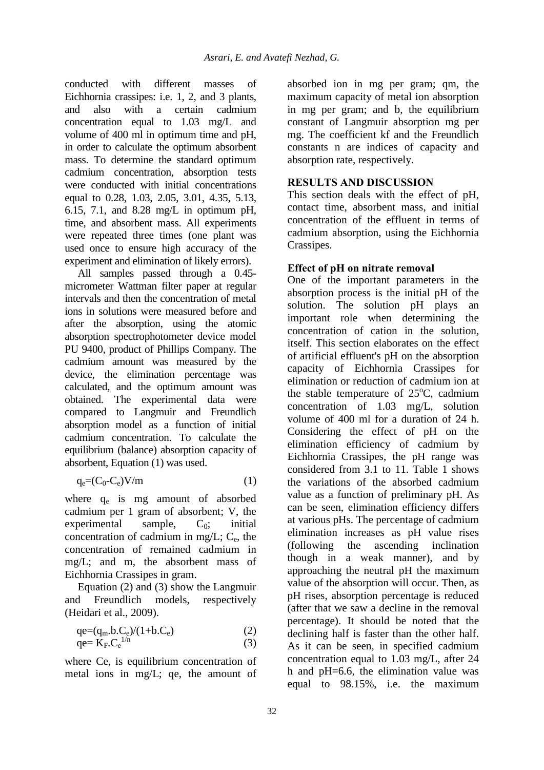conducted with different masses of Eichhornia crassipes: i.e. 1, 2, and 3 plants, and also with a certain cadmium concentration equal to 1.03 mg/L and volume of 400 ml in optimum time and pH, in order to calculate the optimum absorbent mass. To determine the standard optimum cadmium concentration, absorption tests were conducted with initial concentrations equal to 0.28, 1.03, 2.05, 3.01, 4.35, 5.13, 6.15, 7.1, and 8.28 mg/L in optimum pH, time, and absorbent mass. All experiments were repeated three times (one plant was used once to ensure high accuracy of the experiment and elimination of likely errors).

All samples passed through a 0.45 micrometer Wattman filter paper at regular intervals and then the concentration of metal ions in solutions were measured before and after the absorption, using the atomic absorption spectrophotometer device model PU 9400, product of Phillips Company. The cadmium amount was measured by the device, the elimination percentage was calculated, and the optimum amount was obtained. The experimental data were compared to Langmuir and Freundlich absorption model as a function of initial cadmium concentration. To calculate the equilibrium (balance) absorption capacity of absorbent, Equation (1) was used.

$$
q_e = (C_0 - C_e)V/m
$$
 (1)

where q<sub>e</sub> is mg amount of absorbed cadmium per 1 gram of absorbent; V, the  $experimental$  sample,  $C_0$ ; initial concentration of cadmium in mg/L;  $C_e$ , the concentration of remained cadmium in mg/L; and m, the absorbent mass of Eichhornia Crassipes in gram.

Equation (2) and (3) show the Langmuir and Freundlich models, respectively (Heidari et al., 2009).

$$
qe=(q_m.b.C_e)/(1+b.C_e)
$$
 (2)

$$
qe = K_F.C_e^{1/n}
$$
 (3)

where Ce, is equilibrium concentration of metal ions in mg/L; qe, the amount of absorbed ion in mg per gram; qm, the maximum capacity of metal ion absorption in mg per gram; and b, the equilibrium constant of Langmuir absorption mg per mg. The coefficient kf and the Freundlich constants n are indices of capacity and absorption rate, respectively.

## **RESULTS AND DISCUSSION**

This section deals with the effect of pH, contact time, absorbent mass, and initial concentration of the effluent in terms of cadmium absorption, using the Eichhornia Crassipes.

## **Effect of pH on nitrate removal**

One of the important parameters in the absorption process is the initial pH of the solution. The solution pH plays an important role when determining the concentration of cation in the solution, itself. This section elaborates on the effect of artificial effluent's pH on the absorption capacity of Eichhornia Crassipes for elimination or reduction of cadmium ion at the stable temperature of  $25^{\circ}$ C, cadmium concentration of 1.03 mg/L, solution volume of 400 ml for a duration of 24 h. Considering the effect of pH on the elimination efficiency of cadmium by Eichhornia Crassipes, the pH range was considered from 3.1 to 11. Table 1 shows the variations of the absorbed cadmium value as a function of preliminary pH. As can be seen, elimination efficiency differs at various pHs. The percentage of cadmium elimination increases as pH value rises (following the ascending inclination though in a weak manner), and by approaching the neutral pH the maximum value of the absorption will occur. Then, as pH rises, absorption percentage is reduced (after that we saw a decline in the removal percentage). It should be noted that the declining half is faster than the other half. As it can be seen, in specified cadmium concentration equal to 1.03 mg/L, after 24 h and pH=6.6, the elimination value was equal to 98.15%, i.e. the maximum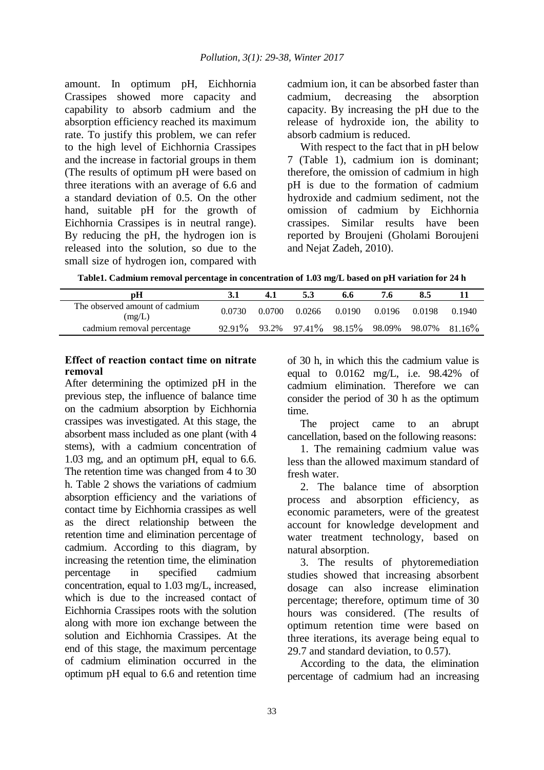amount. In optimum pH, Eichhornia Crassipes showed more capacity and capability to absorb cadmium and the absorption efficiency reached its maximum rate. To justify this problem, we can refer to the high level of Eichhornia Crassipes and the increase in factorial groups in them (The results of optimum pH were based on three iterations with an average of 6.6 and a standard deviation of 0.5. On the other hand, suitable pH for the growth of Eichhornia Crassipes is in neutral range). By reducing the pH, the hydrogen ion is released into the solution, so due to the small size of hydrogen ion, compared with

cadmium ion, it can be absorbed faster than cadmium, decreasing the absorption capacity. By increasing the pH due to the release of hydroxide ion, the ability to absorb cadmium is reduced.

With respect to the fact that in pH below 7 (Table 1), cadmium ion is dominant; therefore, the omission of cadmium in high pH is due to the formation of cadmium hydroxide and cadmium sediment, not the omission of cadmium by Eichhornia crassipes. Similar results have been reported by Broujeni (Gholami Boroujeni and Nejat Zadeh, 2010).

|  | Table1. Cadmium removal percentage in concentration of 1.03 mg/L based on pH variation for 24 h |  |  |
|--|-------------------------------------------------------------------------------------------------|--|--|
|--|-------------------------------------------------------------------------------------------------|--|--|

| рH                                       |        | 4.1    |        | 6.6                                                                  | 7.6    | 8.5    |        |
|------------------------------------------|--------|--------|--------|----------------------------------------------------------------------|--------|--------|--------|
| The observed amount of cadmium<br>(mg/L) | 0.0730 | 0.0700 | 0.0266 | 0.0190                                                               | 0.0196 | 0.0198 | 0.1940 |
| cadmium removal percentage               |        |        |        | $92.91\%$ $93.2\%$ $97.41\%$ $98.15\%$ $98.09\%$ $98.07\%$ $81.16\%$ |        |        |        |

#### **Effect of reaction contact time on nitrate removal**

After determining the optimized pH in the previous step, the influence of balance time on the cadmium absorption by Eichhornia crassipes was investigated. At this stage, the absorbent mass included as one plant (with 4 stems), with a cadmium concentration of 1.03 mg, and an optimum pH, equal to 6.6. The retention time was changed from 4 to 30 h. Table 2 shows the variations of cadmium absorption efficiency and the variations of contact time by Eichhornia crassipes as well as the direct relationship between the retention time and elimination percentage of cadmium. According to this diagram, by increasing the retention time, the elimination percentage in specified cadmium concentration, equal to 1.03 mg/L, increased, which is due to the increased contact of Eichhornia Crassipes roots with the solution along with more ion exchange between the solution and Eichhornia Crassipes. At the end of this stage, the maximum percentage of cadmium elimination occurred in the optimum pH equal to 6.6 and retention time

of 30 h, in which this the cadmium value is equal to 0.0162 mg/L, i.e. 98.42% of cadmium elimination. Therefore we can consider the period of 30 h as the optimum time.

The project came to an abrupt cancellation, based on the following reasons:

1. The remaining cadmium value was less than the allowed maximum standard of fresh water.

2. The balance time of absorption process and absorption efficiency, as economic parameters, were of the greatest account for knowledge development and water treatment technology, based on natural absorption.

3. The results of phytoremediation studies showed that increasing absorbent dosage can also increase elimination percentage; therefore, optimum time of 30 hours was considered. (The results of optimum retention time were based on three iterations, its average being equal to 29.7 and standard deviation, to 0.57).

According to the data, the elimination percentage of cadmium had an increasing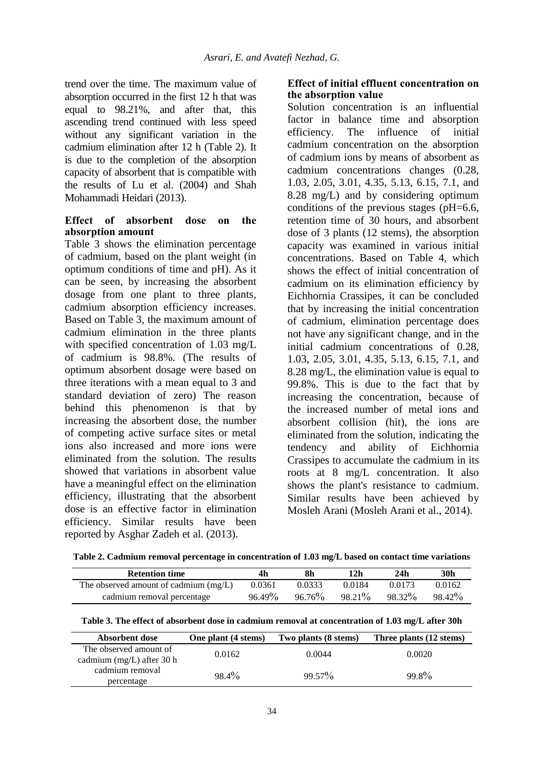trend over the time. The maximum value of absorption occurred in the first 12 h that was equal to 98.21%, and after that, this ascending trend continued with less speed without any significant variation in the cadmium elimination after 12 h (Table 2). It is due to the completion of the absorption capacity of absorbent that is compatible with the results of Lu et al. (2004) and Shah Mohammadi Heidari (2013).

#### **Effect of absorbent dose on the absorption amount**

Table 3 shows the elimination percentage of cadmium, based on the plant weight (in optimum conditions of time and pH). As it can be seen, by increasing the absorbent dosage from one plant to three plants, cadmium absorption efficiency increases. Based on Table 3, the maximum amount of cadmium elimination in the three plants with specified concentration of 1.03 mg/L of cadmium is 98.8%. (The results of optimum absorbent dosage were based on three iterations with a mean equal to 3 and standard deviation of zero) The reason behind this phenomenon is that by increasing the absorbent dose, the number of competing active surface sites or metal ions also increased and more ions were eliminated from the solution. The results showed that variations in absorbent value have a meaningful effect on the elimination efficiency, illustrating that the absorbent dose is an effective factor in elimination efficiency. Similar results have been reported by Asghar Zadeh et al. (2013).

## **Effect of initial effluent concentration on the absorption value**

Solution concentration is an influential factor in balance time and absorption efficiency. The influence of initial cadmium concentration on the absorption of cadmium ions by means of absorbent as cadmium concentrations changes (0.28, 1.03, 2.05, 3.01, 4.35, 5.13, 6.15, 7.1, and 8.28 mg/L) and by considering optimum conditions of the previous stages (pH=6.6, retention time of 30 hours, and absorbent dose of 3 plants (12 stems), the absorption capacity was examined in various initial concentrations. Based on Table 4, which shows the effect of initial concentration of cadmium on its elimination efficiency by Eichhornia Crassipes, it can be concluded that by increasing the initial concentration of cadmium, elimination percentage does not have any significant change, and in the initial cadmium concentrations of 0.28, 1.03, 2.05, 3.01, 4.35, 5.13, 6.15, 7.1, and 8.28 mg/L, the elimination value is equal to 99.8%. This is due to the fact that by increasing the concentration, because of the increased number of metal ions and absorbent collision (hit), the ions are eliminated from the solution, indicating the tendency and ability of Eichhornia Crassipes to accumulate the cadmium in its roots at 8 mg/L concentration. It also shows the plant's resistance to cadmium. Similar results have been achieved by Mosleh Arani (Mosleh Arani et al., 2014).

| 4h        | 8h     | 12h    | 24h    | 30h    |
|-----------|--------|--------|--------|--------|
| 0.0361    | 0.0333 | 0.0184 | 0.0173 | 0.0162 |
| $96.49\%$ | 96.76% | 98.21% | 98.32% | 98.42% |
|           |        |        |        |        |

|  | Table 3. The effect of absorbent dose in cadmium removal at concentration of 1.03 mg/L after 30h |
|--|--------------------------------------------------------------------------------------------------|
|  |                                                                                                  |

| Absorbent dose                                        | One plant (4 stems) | Two plants (8 stems) | Three plants (12 stems) |
|-------------------------------------------------------|---------------------|----------------------|-------------------------|
| The observed amount of<br>cadmium $(mg/L)$ after 30 h | 0.0162              | 0.0044               | 0.0020                  |
| cadmium removal<br>percentage                         | $98.4\%$            | $99.57\%$            | $99.8\%$                |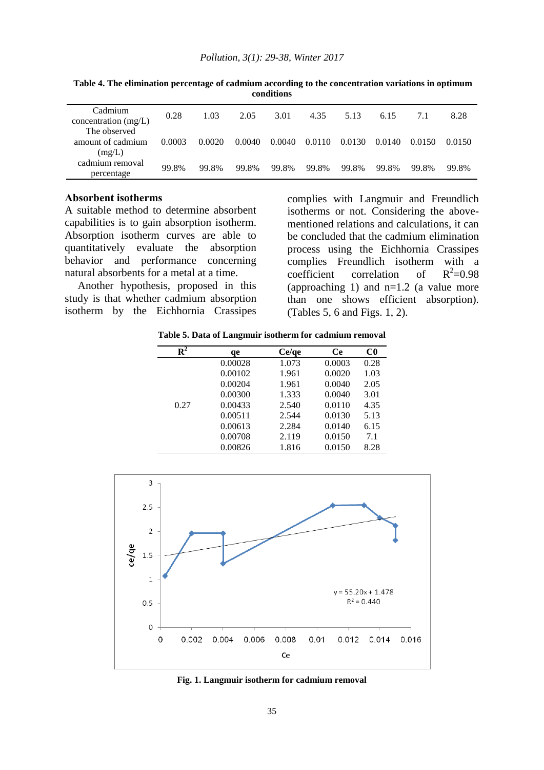| Cadmium<br>concentration $(mg/L)$           | 0.28   | 1.03   | 2.05   | 3.01   | 4.35   | 5.13   | 6.15   | 7.1    | 8.28   |
|---------------------------------------------|--------|--------|--------|--------|--------|--------|--------|--------|--------|
| The observed<br>amount of cadmium<br>(mg/L) | 0.0003 | 0.0020 | 0.0040 | 0.0040 | 0.0110 | 0.0130 | 0.0140 | 0.0150 | 0.0150 |
| cadmium removal<br>percentage               | 99.8%  | 99.8%  | 99.8%  | 99.8%  | 99.8%  | 99.8%  | 99.8%  | 99.8%  | 99.8%  |

**Table 4. The elimination percentage of cadmium according to the concentration variations in optimum conditions**

#### **Absorbent isotherms**

A suitable method to determine absorbent capabilities is to gain absorption isotherm. Absorption isotherm curves are able to quantitatively evaluate the absorption behavior and performance concerning natural absorbents for a metal at a time.

Another hypothesis, proposed in this study is that whether cadmium absorption isotherm by the Eichhornia Crassipes

complies with Langmuir and Freundlich isotherms or not. Considering the abovementioned relations and calculations, it can be concluded that the cadmium elimination process using the Eichhornia Crassipes complies Freundlich isotherm with a coefficient correlation of  $R^2=0.98$ (approaching 1) and  $n=1.2$  (a value more than one shows efficient absorption). (Tables 5, 6 and Figs. 1, 2).

**Table 5. Data of Langmuir isotherm for cadmium removal**

| $\mathbf{R}^2$ | qe      | Ce/qe | <b>Ce</b> | $_{\rm C0}$ |
|----------------|---------|-------|-----------|-------------|
|                | 0.00028 | 1.073 | 0.0003    | 0.28        |
|                | 0.00102 | 1.961 | 0.0020    | 1.03        |
|                | 0.00204 | 1.961 | 0.0040    | 2.05        |
|                | 0.00300 | 1.333 | 0.0040    | 3.01        |
| 0.27           | 0.00433 | 2.540 | 0.0110    | 4.35        |
|                | 0.00511 | 2.544 | 0.0130    | 5.13        |
|                | 0.00613 | 2.284 | 0.0140    | 6.15        |
|                | 0.00708 | 2.119 | 0.0150    | 7.1         |
|                | 0.00826 | 1.816 | 0.0150    | 8.28        |



**Fig. 1. Langmuir isotherm for cadmium removal**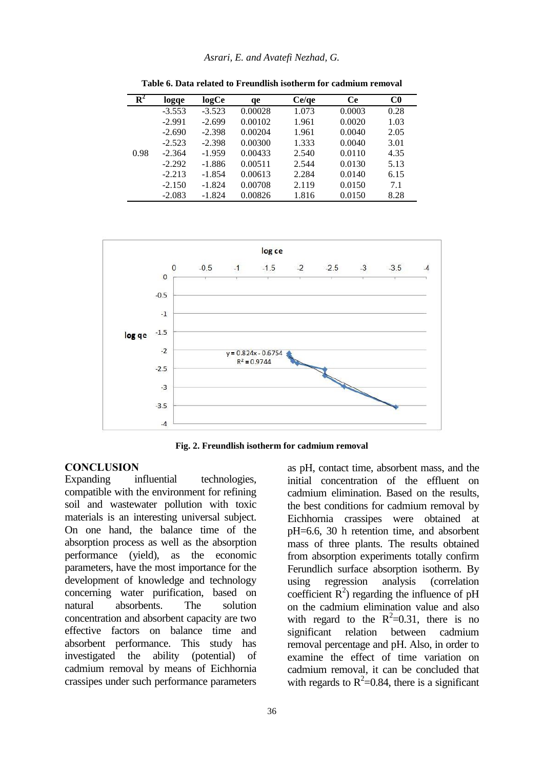| $\mathbf{R}^2$ |          |          |         |       | Ce     |                |
|----------------|----------|----------|---------|-------|--------|----------------|
|                | logge    | logCe    | qe      | Ce/qe |        | C <sub>0</sub> |
|                | $-3.553$ | $-3.523$ | 0.00028 | 1.073 | 0.0003 | 0.28           |
|                | $-2.991$ | $-2.699$ | 0.00102 | 1.961 | 0.0020 | 1.03           |
|                | $-2.690$ | $-2.398$ | 0.00204 | 1.961 | 0.0040 | 2.05           |
|                | $-2.523$ | $-2.398$ | 0.00300 | 1.333 | 0.0040 | 3.01           |
| 0.98           | $-2.364$ | $-1.959$ | 0.00433 | 2.540 | 0.0110 | 4.35           |
|                | $-2.292$ | $-1.886$ | 0.00511 | 2.544 | 0.0130 | 5.13           |
|                | $-2.213$ | $-1.854$ | 0.00613 | 2.284 | 0.0140 | 6.15           |
|                | $-2.150$ | $-1.824$ | 0.00708 | 2.119 | 0.0150 | 7.1            |
|                | $-2.083$ | $-1.824$ | 0.00826 | 1.816 | 0.0150 | 8.28           |

**Table 6. Data related to Freundlish isotherm for cadmium removal**



**Fig. 2. Freundlish isotherm for cadmium removal**

#### **CONCLUSION**

Expanding influential technologies, compatible with the environment for refining soil and wastewater pollution with toxic materials is an interesting universal subject. On one hand, the balance time of the absorption process as well as the absorption performance (yield), as the economic parameters, have the most importance for the development of knowledge and technology concerning water purification, based on natural absorbents. The solution concentration and absorbent capacity are two effective factors on balance time and absorbent performance. This study has investigated the ability (potential) of cadmium removal by means of Eichhornia crassipes under such performance parameters

as pH, contact time, absorbent mass, and the initial concentration of the effluent on cadmium elimination. Based on the results, the best conditions for cadmium removal by Eichhornia crassipes were obtained at pH=6.6, 30 h retention time, and absorbent mass of three plants. The results obtained from absorption experiments totally confirm Ferundlich surface absorption isotherm. By using regression analysis (correlation coefficient  $R^2$ ) regarding the influence of pH on the cadmium elimination value and also with regard to the  $R^2=0.31$ , there is no significant relation between cadmium removal percentage and pH. Also, in order to examine the effect of time variation on cadmium removal, it can be concluded that with regards to  $R^2$ =0.84, there is a significant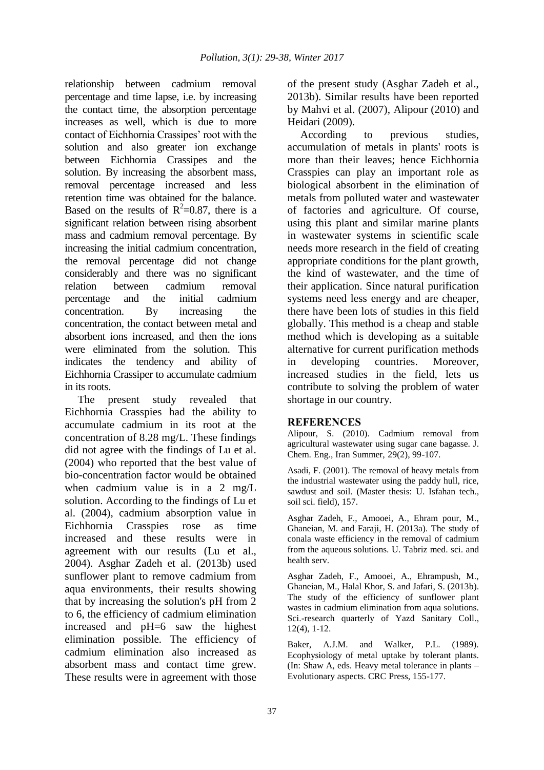relationship between cadmium removal percentage and time lapse, i.e. by increasing the contact time, the absorption percentage increases as well, which is due to more contact of Eichhornia Crassipes' root with the solution and also greater ion exchange between Eichhornia Crassipes and the solution. By increasing the absorbent mass, removal percentage increased and less retention time was obtained for the balance. Based on the results of  $R^2=0.87$ , there is a significant relation between rising absorbent mass and cadmium removal percentage. By increasing the initial cadmium concentration, the removal percentage did not change considerably and there was no significant relation between cadmium removal percentage and the initial cadmium concentration. By increasing the concentration, the contact between metal and absorbent ions increased, and then the ions were eliminated from the solution. This indicates the tendency and ability of Eichhornia Crassiper to accumulate cadmium in its roots.

The present study revealed that Eichhornia Crasspies had the ability to accumulate cadmium in its root at the concentration of 8.28 mg/L. These findings did not agree with the findings of Lu et al. (2004) who reported that the best value of bio-concentration factor would be obtained when cadmium value is in a 2 mg/L solution. According to the findings of Lu et al. (2004), cadmium absorption value in Eichhornia Crasspies rose as time increased and these results were in agreement with our results (Lu et al., 2004). Asghar Zadeh et al. (2013b) used sunflower plant to remove cadmium from aqua environments, their results showing that by increasing the solution's pH from 2 to 6, the efficiency of cadmium elimination increased and pH=6 saw the highest elimination possible. The efficiency of cadmium elimination also increased as absorbent mass and contact time grew. These results were in agreement with those

of the present study (Asghar Zadeh et al., 2013b). Similar results have been reported by Mahvi et al. (2007), Alipour (2010) and Heidari (2009).

According to previous studies, accumulation of metals in plants' roots is more than their leaves; hence Eichhornia Crasspies can play an important role as biological absorbent in the elimination of metals from polluted water and wastewater of factories and agriculture. Of course, using this plant and similar marine plants in wastewater systems in scientific scale needs more research in the field of creating appropriate conditions for the plant growth, the kind of wastewater, and the time of their application. Since natural purification systems need less energy and are cheaper, there have been lots of studies in this field globally. This method is a cheap and stable method which is developing as a suitable alternative for current purification methods in developing countries. Moreover, increased studies in the field, lets us contribute to solving the problem of water shortage in our country.

## **REFERENCES**

Alipour, S. (2010). Cadmium removal from agricultural wastewater using sugar cane bagasse. J. Chem. Eng., Iran Summer, 29(2), 99-107.

Asadi, F. (2001). The removal of heavy metals from the industrial wastewater using the paddy hull, rice, sawdust and soil. (Master thesis: U. Isfahan tech., soil sci. field), 157.

Asghar Zadeh, F., Amooei, A., Ehram pour, M., Ghaneian, M. and Faraji, H. (2013a). The study of conala waste efficiency in the removal of cadmium from the aqueous solutions. U. Tabriz med. sci. and health serv.

Asghar Zadeh, F., Amooei, A., Ehrampush, M., Ghaneian, M., Halal Khor, S. and Jafari, S. (2013b). The study of the efficiency of sunflower plant wastes in cadmium elimination from aqua solutions. Sci.-research quarterly of Yazd Sanitary Coll., 12(4), 1-12.

Baker, A.J.M. and Walker, P.L. (1989). Ecophysiology of metal uptake by tolerant plants. (In: Shaw A, eds. Heavy metal tolerance in plants – Evolutionary aspects. CRC Press, 155-177.